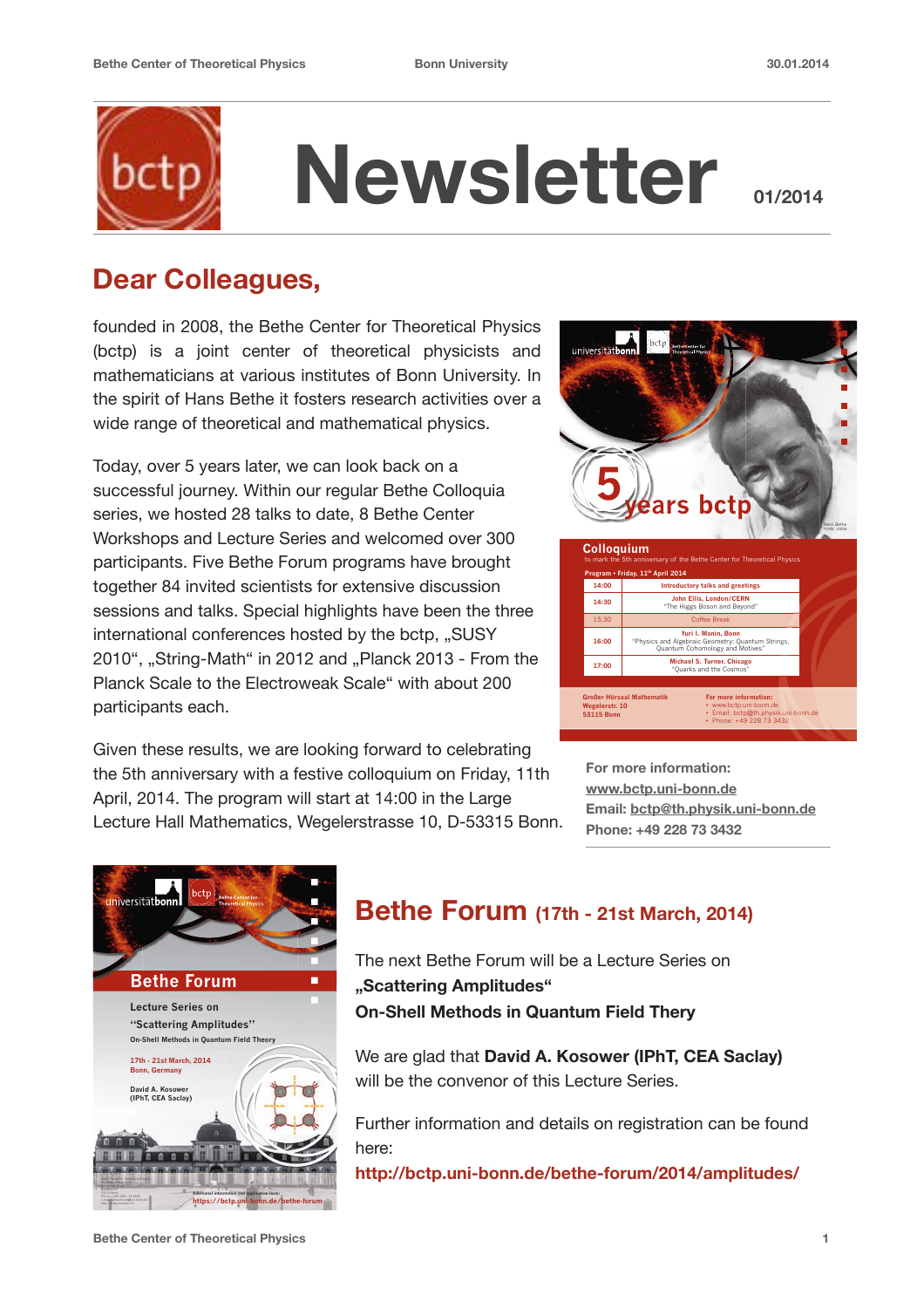

# **Newsletter**

## **Dear Colleagues,**

founded in 2008, the Bethe Center for Theoretical Physics (bctp) is a joint center of theoretical physicists and mathematicians at various institutes of Bonn University. In the spirit of Hans Bethe it fosters research activities over a wide range of theoretical and mathematical physics.

Today, over 5 years later, we can look back on a successful journey. Within our regular Bethe Colloquia series, we hosted 28 talks to date, 8 Bethe Center Workshops and Lecture Series and welcomed over 300 participants. Five Bethe Forum programs have brought together 84 invited scientists for extensive discussion sessions and talks. Special highlights have been the three international conferences hosted by the bctp, "SUSY 2010", "String-Math" in 2012 and "Planck 2013 - From the Planck Scale to the Electroweak Scale" with about 200 participants each.

Given these results, we are looking forward to celebrating the 5th anniversary with a festive colloquium on Friday, 11th April, 2014. The program will start at 14:00 in the Large Lecture Hall Mathematics, Wegelerstrasse 10, D-53315 Bonn.



**For more information: [www.bctp.uni-bonn.de](http://www.bctp.uni-bonn.de) Email: [bctp@th.physik.uni-bonn.de](mailto:bctp@th.physik.uni-bonn.de) Phone: +49 228 73 3432** 



### **Bethe Forum (17th - 21st March, 2014)**

The next Bethe Forum will be a Lecture Series on **"Scattering Amplitudes" On-Shell Methods in Quantum Field Thery** 

We are glad that **David A. Kosower (IPhT, CEA Saclay)** will be the convenor of this Lecture Series.

Further information and details on registration can be found here:

**http://bctp.uni-bonn.de/bethe-forum/2014/amplitudes/**